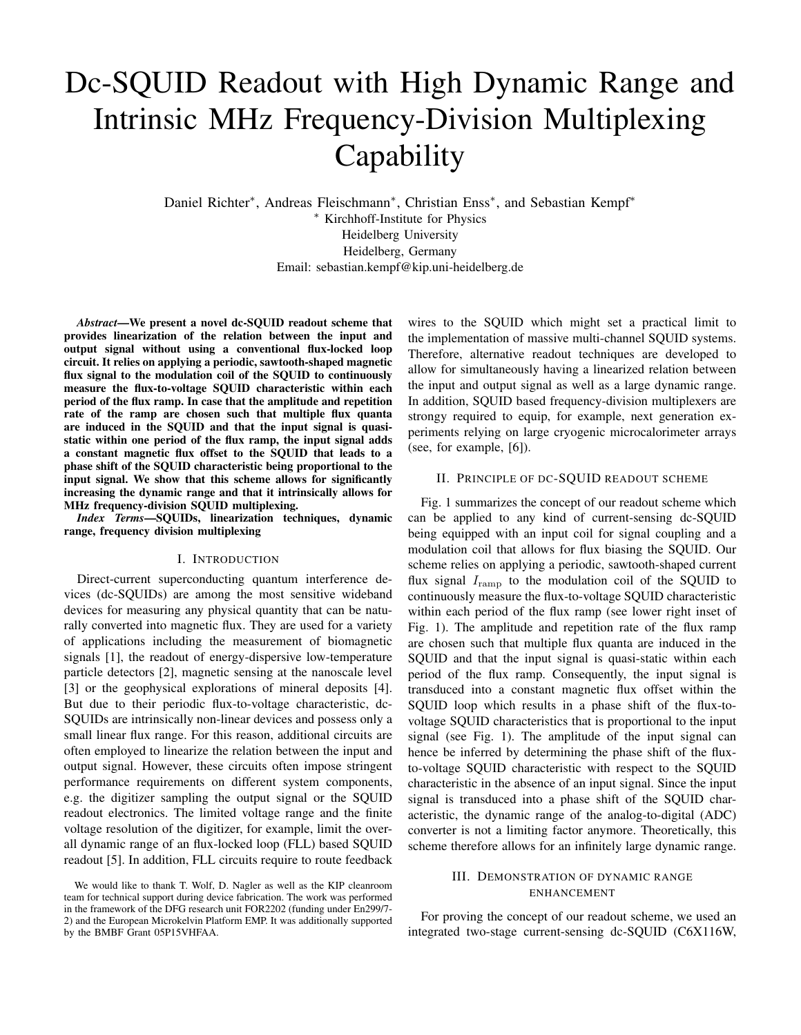# Dc-SQUID Readout with High Dynamic Range and Intrinsic MHz Frequency-Division Multiplexing **Capability**

Daniel Richter\*, Andreas Fleischmann\*, Christian Enss\*, and Sebastian Kempf\* <sup>∗</sup> Kirchhoff-Institute for Physics Heidelberg University Heidelberg, Germany Email: sebastian.kempf@kip.uni-heidelberg.de

*Abstract*—We present a novel dc-SQUID readout scheme that provides linearization of the relation between the input and output signal without using a conventional flux-locked loop circuit. It relies on applying a periodic, sawtooth-shaped magnetic flux signal to the modulation coil of the SQUID to continuously measure the flux-to-voltage SQUID characteristic within each period of the flux ramp. In case that the amplitude and repetition rate of the ramp are chosen such that multiple flux quanta are induced in the SQUID and that the input signal is quasistatic within one period of the flux ramp, the input signal adds a constant magnetic flux offset to the SQUID that leads to a phase shift of the SQUID characteristic being proportional to the input signal. We show that this scheme allows for significantly increasing the dynamic range and that it intrinsically allows for MHz frequency-division SQUID multiplexing.

*Index Terms*—SQUIDs, linearization techniques, dynamic range, frequency division multiplexing

#### I. INTRODUCTION

Direct-current superconducting quantum interference devices (dc-SQUIDs) are among the most sensitive wideband devices for measuring any physical quantity that can be naturally converted into magnetic flux. They are used for a variety of applications including the measurement of biomagnetic signals [1], the readout of energy-dispersive low-temperature particle detectors [2], magnetic sensing at the nanoscale level [3] or the geophysical explorations of mineral deposits [4]. But due to their periodic flux-to-voltage characteristic, dc-SQUIDs are intrinsically non-linear devices and possess only a small linear flux range. For this reason, additional circuits are often employed to linearize the relation between the input and output signal. However, these circuits often impose stringent performance requirements on different system components, e.g. the digitizer sampling the output signal or the SQUID readout electronics. The limited voltage range and the finite voltage resolution of the digitizer, for example, limit the overall dynamic range of an flux-locked loop (FLL) based SQUID readout [5]. In addition, FLL circuits require to route feedback

wires to the SQUID which might set a practical limit to the implementation of massive multi-channel SQUID systems. Therefore, alternative readout techniques are developed to allow for simultaneously having a linearized relation between the input and output signal as well as a large dynamic range. In addition, SQUID based frequency-division multiplexers are strongy required to equip, for example, next generation experiments relying on large cryogenic microcalorimeter arrays (see, for example, [6]).

## II. PRINCIPLE OF DC-SQUID READOUT SCHEME

Fig. 1 summarizes the concept of our readout scheme which can be applied to any kind of current-sensing dc-SQUID being equipped with an input coil for signal coupling and a modulation coil that allows for flux biasing the SQUID. Our scheme relies on applying a periodic, sawtooth-shaped current flux signal  $I_{\text{ramp}}$  to the modulation coil of the SQUID to continuously measure the flux-to-voltage SQUID characteristic within each period of the flux ramp (see lower right inset of Fig. 1). The amplitude and repetition rate of the flux ramp are chosen such that multiple flux quanta are induced in the SQUID and that the input signal is quasi-static within each period of the flux ramp. Consequently, the input signal is transduced into a constant magnetic flux offset within the SQUID loop which results in a phase shift of the flux-tovoltage SQUID characteristics that is proportional to the input signal (see Fig. 1). The amplitude of the input signal can hence be inferred by determining the phase shift of the fluxto-voltage SQUID characteristic with respect to the SQUID characteristic in the absence of an input signal. Since the input signal is transduced into a phase shift of the SQUID characteristic, the dynamic range of the analog-to-digital (ADC) converter is not a limiting factor anymore. Theoretically, this scheme therefore allows for an infinitely large dynamic range.

## III. DEMONSTRATION OF DYNAMIC RANGE ENHANCEMENT

For proving the concept of our readout scheme, we used an integrated two-stage current-sensing dc-SQUID (C6X116W,

We would like to thank T. Wolf, D. Nagler as well as the KIP cleanroom team for technical support during device fabrication. The work was performed in the framework of the DFG research unit FOR2202 (funding under En299/7- 2) and the European Microkelvin Platform EMP. It was additionally supported by the BMBF Grant 05P15VHFAA.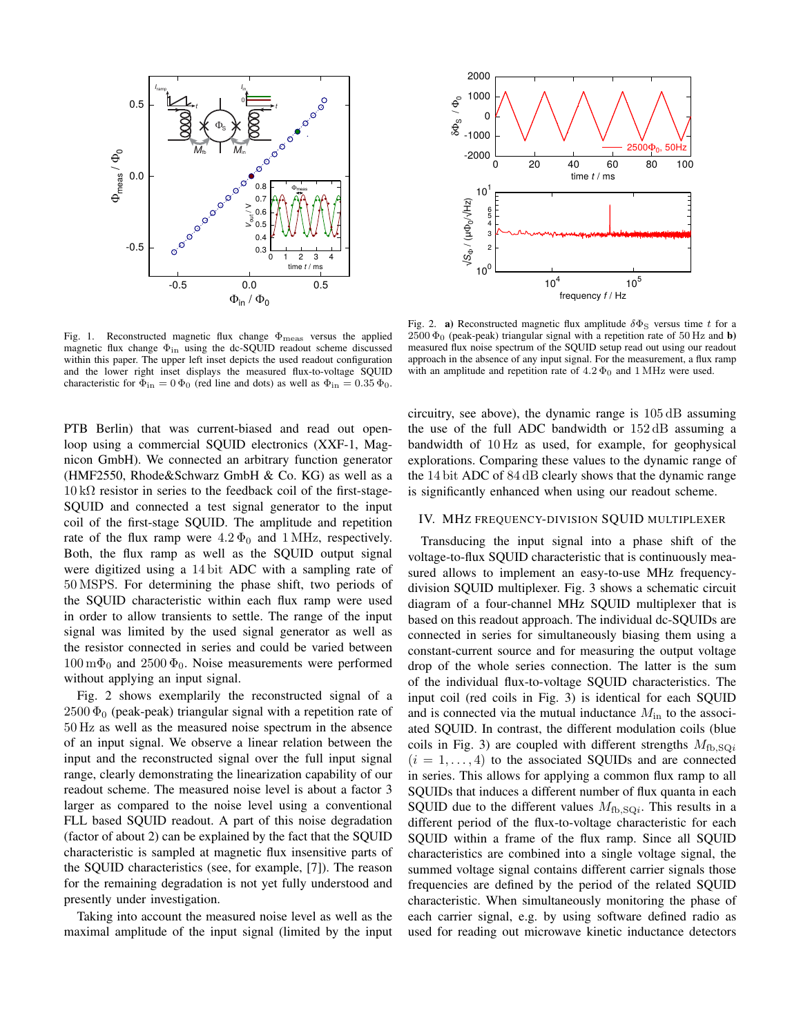

Fig. 1. Reconstructed magnetic flux change  $\Phi_{\text{meas}}$  versus the applied magnetic flux change  $\Phi_{\text{in}}$  using the dc-SQUID readout scheme discussed within this paper. The upper left inset depicts the used readout configuration and the lower right inset displays the measured flux-to-voltage SQUID characteristic for  $\Phi_{\text{in}} = 0 \Phi_0$  (red line and dots) as well as  $\Phi_{\text{in}} = 0.35 \Phi_0$ .

PTB Berlin) that was current-biased and read out openloop using a commercial SQUID electronics (XXF-1, Magnicon GmbH). We connected an arbitrary function generator (HMF2550, Rhode&Schwarz GmbH & Co. KG) as well as a  $10 \text{ k}\Omega$  resistor in series to the feedback coil of the first-stage-SQUID and connected a test signal generator to the input coil of the first-stage SQUID. The amplitude and repetition rate of the flux ramp were  $4.2 \Phi_0$  and 1 MHz, respectively. Both, the flux ramp as well as the SQUID output signal were digitized using a 14 bit ADC with a sampling rate of 50 MSPS. For determining the phase shift, two periods of the SQUID characteristic within each flux ramp were used in order to allow transients to settle. The range of the input signal was limited by the used signal generator as well as the resistor connected in series and could be varied between  $100 \,\mathrm{m}\Phi_0$  and  $2500 \,\Phi_0$ . Noise measurements were performed without applying an input signal.

Fig. 2 shows exemplarily the reconstructed signal of a  $2500 \Phi_0$  (peak-peak) triangular signal with a repetition rate of 50 Hz as well as the measured noise spectrum in the absence of an input signal. We observe a linear relation between the input and the reconstructed signal over the full input signal range, clearly demonstrating the linearization capability of our readout scheme. The measured noise level is about a factor 3 larger as compared to the noise level using a conventional FLL based SQUID readout. A part of this noise degradation (factor of about 2) can be explained by the fact that the SQUID characteristic is sampled at magnetic flux insensitive parts of the SQUID characteristics (see, for example, [7]). The reason for the remaining degradation is not yet fully understood and presently under investigation.

Taking into account the measured noise level as well as the maximal amplitude of the input signal (limited by the input



Fig. 2. a) Reconstructed magnetic flux amplitude  $\delta\Phi_S$  versus time t for a  $2500 \Phi_0$  (peak-peak) triangular signal with a repetition rate of 50 Hz and **b**) measured flux noise spectrum of the SQUID setup read out using our readout approach in the absence of any input signal. For the measurement, a flux ramp with an amplitude and repetition rate of  $4.2 \Phi_0$  and  $1 \text{ MHz}$  were used.

circuitry, see above), the dynamic range is 105 dB assuming the use of the full ADC bandwidth or 152 dB assuming a bandwidth of 10 Hz as used, for example, for geophysical explorations. Comparing these values to the dynamic range of the 14 bit ADC of 84 dB clearly shows that the dynamic range is significantly enhanced when using our readout scheme.

#### IV. MHZ FREQUENCY-DIVISION SQUID MULTIPLEXER

Transducing the input signal into a phase shift of the voltage-to-flux SQUID characteristic that is continuously measured allows to implement an easy-to-use MHz frequencydivision SQUID multiplexer. Fig. 3 shows a schematic circuit diagram of a four-channel MHz SQUID multiplexer that is based on this readout approach. The individual dc-SQUIDs are connected in series for simultaneously biasing them using a constant-current source and for measuring the output voltage drop of the whole series connection. The latter is the sum of the individual flux-to-voltage SQUID characteristics. The input coil (red coils in Fig. 3) is identical for each SQUID and is connected via the mutual inductance  $M_{\text{in}}$  to the associated SQUID. In contrast, the different modulation coils (blue coils in Fig. 3) are coupled with different strengths  $M_{\text{fb,SO}i}$  $(i = 1, \ldots, 4)$  to the associated SQUIDs and are connected in series. This allows for applying a common flux ramp to all SQUIDs that induces a different number of flux quanta in each SQUID due to the different values  $M_{\text{fb,SQ}i}$ . This results in a different period of the flux-to-voltage characteristic for each SQUID within a frame of the flux ramp. Since all SQUID characteristics are combined into a single voltage signal, the summed voltage signal contains different carrier signals those frequencies are defined by the period of the related SQUID characteristic. When simultaneously monitoring the phase of each carrier signal, e.g. by using software defined radio as used for reading out microwave kinetic inductance detectors